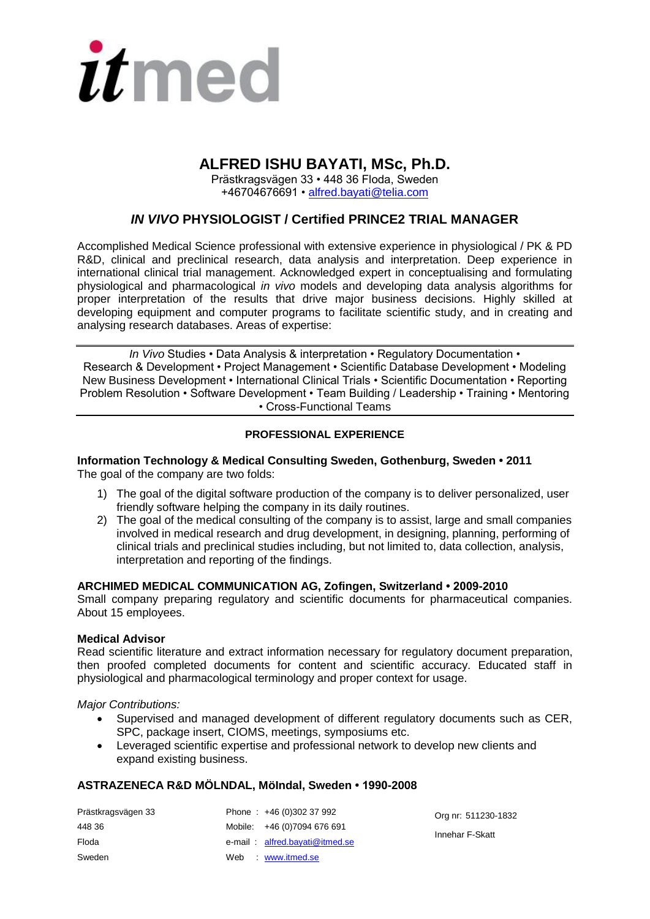

# **ALFRED ISHU BAYATI, MSc, Ph.D.**

Prästkragsvägen 33 • 448 36 Floda, Sweden +46704676691 • [alfred.bayati@telia.com](mailto:alfred.bayati@telia.com)

# *IN VIVO* **PHYSIOLOGIST / Certified PRINCE2 TRIAL MANAGER**

Accomplished Medical Science professional with extensive experience in physiological / PK & PD R&D, clinical and preclinical research, data analysis and interpretation. Deep experience in international clinical trial management. Acknowledged expert in conceptualising and formulating physiological and pharmacological *in vivo* models and developing data analysis algorithms for proper interpretation of the results that drive major business decisions. Highly skilled at developing equipment and computer programs to facilitate scientific study, and in creating and analysing research databases. Areas of expertise:

*In Vivo* Studies • Data Analysis & interpretation • Regulatory Documentation • Research & Development • Project Management • Scientific Database Development • Modeling New Business Development • International Clinical Trials • Scientific Documentation • Reporting Problem Resolution • Software Development • Team Building / Leadership • Training • Mentoring • Cross-Functional Teams

## **PROFESSIONAL EXPERIENCE**

#### **Information Technology & Medical Consulting Sweden, Gothenburg, Sweden • 2011** The goal of the company are two folds:

- 1) The goal of the digital software production of the company is to deliver personalized, user friendly software helping the company in its daily routines.
- 2) The goal of the medical consulting of the company is to assist, large and small companies involved in medical research and drug development, in designing, planning, performing of clinical trials and preclinical studies including, but not limited to, data collection, analysis, interpretation and reporting of the findings.

#### **ARCHIMED MEDICAL COMMUNICATION AG, Zofingen, Switzerland • 2009-2010**

Small company preparing regulatory and scientific documents for pharmaceutical companies. About 15 employees.

#### **Medical Advisor**

Read scientific literature and extract information necessary for regulatory document preparation, then proofed completed documents for content and scientific accuracy. Educated staff in physiological and pharmacological terminology and proper context for usage.

*Major Contributions:* 

- Supervised and managed development of different regulatory documents such as CER, SPC, package insert, CIOMS, meetings, symposiums etc.
- Leveraged scientific expertise and professional network to develop new clients and expand existing business.

#### **ASTRAZENECA R&D MÖLNDAL, MöIndal, Sweden • 1990-2008**

| Prästkragsvägen 33 | Phone: $+46(0)30237992$        | Org nr: 511230-1832 |
|--------------------|--------------------------------|---------------------|
| 448 36             | Mobile: +46 (0)7094 676 691    | Innehar F-Skatt     |
| Floda              | e-mail: alfred.bayati@itmed.se |                     |
| Sweden             | Web www.itmed.se               |                     |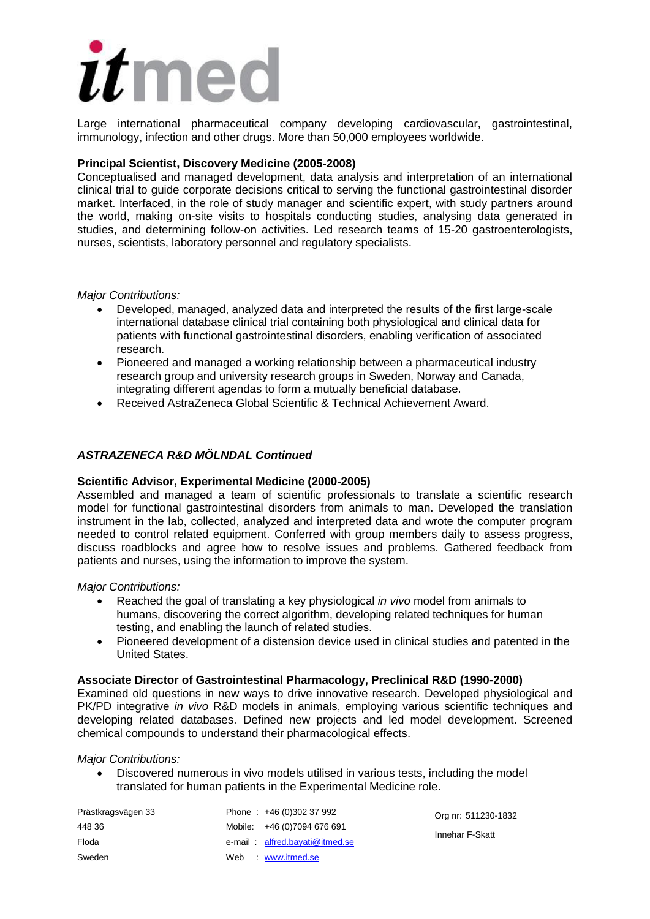# itmec

Large international pharmaceutical company developing cardiovascular, gastrointestinal, immunology, infection and other drugs. More than 50,000 employees worldwide.

## **Principal Scientist, Discovery Medicine (2005-2008)**

Conceptualised and managed development, data analysis and interpretation of an international clinical trial to guide corporate decisions critical to serving the functional gastrointestinal disorder market. Interfaced, in the role of study manager and scientific expert, with study partners around the world, making on-site visits to hospitals conducting studies, analysing data generated in studies, and determining follow-on activities. Led research teams of 15-20 gastroenterologists, nurses, scientists, laboratory personnel and regulatory specialists.

#### *Major Contributions:*

- Developed, managed, analyzed data and interpreted the results of the first large-scale international database clinical trial containing both physiological and clinical data for patients with functional gastrointestinal disorders, enabling verification of associated research.
- Pioneered and managed a working relationship between a pharmaceutical industry research group and university research groups in Sweden, Norway and Canada, integrating different agendas to form a mutually beneficial database.
- Received AstraZeneca Global Scientific & Technical Achievement Award.

# *ASTRAZENECA R&D MÖLNDAL Continued*

#### **Scientific Advisor, Experimental Medicine (2000-2005)**

Assembled and managed a team of scientific professionals to translate a scientific research model for functional gastrointestinal disorders from animals to man. Developed the translation instrument in the lab, collected, analyzed and interpreted data and wrote the computer program needed to control related equipment. Conferred with group members daily to assess progress, discuss roadblocks and agree how to resolve issues and problems. Gathered feedback from patients and nurses, using the information to improve the system.

#### *Major Contributions:*

- Reached the goal of translating a key physiological *in vivo* model from animals to humans, discovering the correct algorithm, developing related techniques for human testing, and enabling the launch of related studies.
- Pioneered development of a distension device used in clinical studies and patented in the United States.

#### **Associate Director of Gastrointestinal Pharmacology, Preclinical R&D (1990-2000)**

Examined old questions in new ways to drive innovative research. Developed physiological and PK/PD integrative *in vivo* R&D models in animals, employing various scientific techniques and developing related databases. Defined new projects and led model development. Screened chemical compounds to understand their pharmacological effects.

#### *Major Contributions:*

 Discovered numerous in vivo models utilised in various tests, including the model translated for human patients in the Experimental Medicine role.

| Prästkragsvägen 33 | Phone: $+46(0)30237992$        | Org nr: 511230-1832 |
|--------------------|--------------------------------|---------------------|
| 448 36             | Mobile: +46 (0)7094 676 691    | Innehar F-Skatt     |
| Floda              | e-mail: alfred.bayati@itmed.se |                     |
| Sweden             | Web www.itmed.se               |                     |